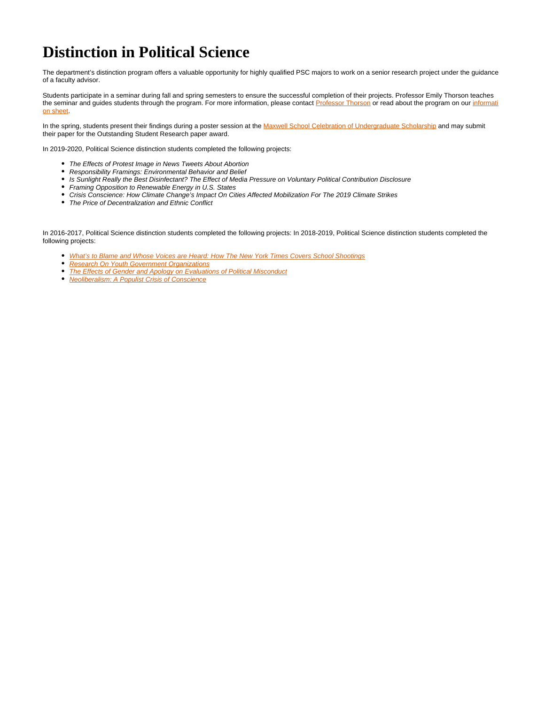## **Distinction in Political Science**

The department's distinction program offers a valuable opportunity for highly qualified PSC majors to work on a senior research project under the guidance of a faculty advisor.

Students participate in a seminar during fall and spring semesters to ensure the successful completion of their projects. Professor Emily Thorson teaches the seminar and guides students through the program. For more information, please contact [Professor Thorson](https://www.maxwell.syr.edu/psc/Thorson,_Emily/) or read about the program on our [informati](https://www.maxwell.syr.edu/uploadedFiles/political_science/political-science-distinction-program-guidelines.pdf) [on sheet.](https://www.maxwell.syr.edu/uploadedFiles/political_science/political-science-distinction-program-guidelines.pdf)

In the spring, students present their findings during a poster session at the [Maxwell School Celebration of Undergraduate Scholarship](https://www.maxwell.syr.edu/UndergradScholarship/) and may submit their paper for the Outstanding Student Research paper award.

In 2019-2020, Political Science distinction students completed the following projects:

- The Effects of Protest Image in News Tweets About Abortion
- Responsibility Framings: Environmental Behavior and Belief
- Is Sunlight Really the Best Disinfectant? The Effect of Media Pressure on Voluntary Political Contribution Disclosure
- Framing Opposition to Renewable Energy in U.S. States
- Crisis Conscience: How Climate Change's Impact On Cities Affected Mobilization For The 2019 Climate Strikes
- The Price of Decentralization and Ethnic Conflict

In 2016-2017, Political Science distinction students completed the following projects: In 2018-2019, Political Science distinction students completed the following projects:

- [What's to Blame and Whose Voices are Heard: How The New York Times Covers School Shootings](https://surface.syr.edu/honors_capstone/1114)
- **[Research On Youth Government Organizations](https://surface.syr.edu/honors_capstone/1102)**
- [The Effects of Gender and Apology on Evaluations of Political Misconduct](https://surface.syr.edu/honors_capstone/1107)
- [Neoliberalism: A Populist Crisis of Conscience](https://surface.syr.edu/honors_capstone/1103)